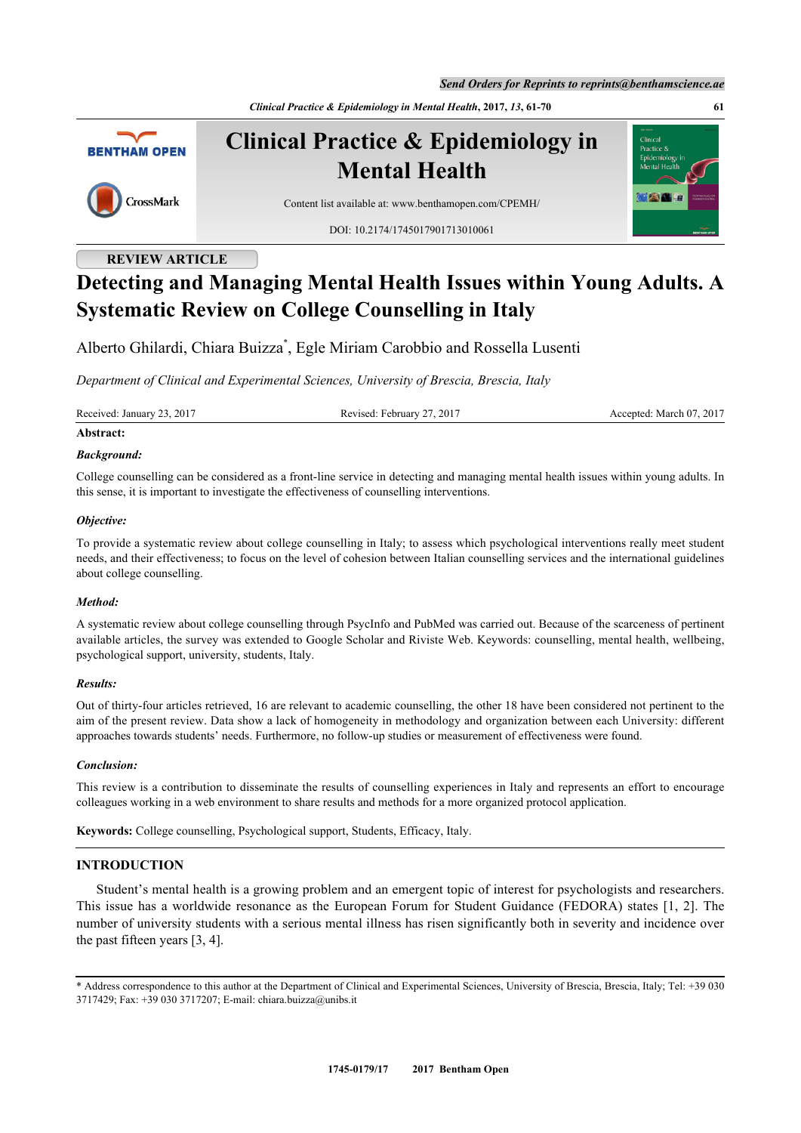*Send Orders for Reprints to reprints@benthamscience.ae*

*Clinical Practice & Epidemiology in Mental Health***, 2017,** *13***, 61-70 61**



CrossMark

**Clinical Practice & Epidemiology in Mental Health**

Content list available at: [www.benthamopen.com/CPEMH/](http://www.benthamopen.com/CPEMH/)

DOI: [10.2174/1745017901713010061](http://dx.doi.org/10.2174/1745017901713010061)

# **REVIEW ARTICLE**

# **Detecting and Managing Mental Health Issues within Young Adults. A Systematic Review on College Counselling in Italy**

Alberto Ghilardi, Chiara Buizza[\\*](#page-0-0) , Egle Miriam Carobbio and Rossella Lusenti

*Department of Clinical and Experimental Sciences, University of Brescia, Brescia, Italy*

Received: January 23, 2017 Revised: February 27, 2017 Accepted: March 07, 2017

# **Abstract:**

# *Background:*

College counselling can be considered as a front-line service in detecting and managing mental health issues within young adults. In this sense, it is important to investigate the effectiveness of counselling interventions.

# *Objective:*

To provide a systematic review about college counselling in Italy; to assess which psychological interventions really meet student needs, and their effectiveness; to focus on the level of cohesion between Italian counselling services and the international guidelines about college counselling.

# *Method:*

A systematic review about college counselling through PsycInfo and PubMed was carried out. Because of the scarceness of pertinent available articles, the survey was extended to Google Scholar and Riviste Web. Keywords: counselling, mental health, wellbeing, psychological support, university, students, Italy.

### *Results:*

Out of thirty-four articles retrieved, 16 are relevant to academic counselling, the other 18 have been considered not pertinent to the aim of the present review. Data show a lack of homogeneity in methodology and organization between each University: different approaches towards students' needs. Furthermore, no follow-up studies or measurement of effectiveness were found.

### *Conclusion:*

This review is a contribution to disseminate the results of counselling experiences in Italy and represents an effort to encourage colleagues working in a web environment to share results and methods for a more organized protocol application.

**Keywords:** College counselling, Psychological support, Students, Efficacy, Italy.

# **INTRODUCTION**

Student's mental health is a growing problem and an emergent topic of interest for psychologists and researchers. This issue has a worldwide resonance as the European Forum for Student Guidance (FEDORA) states [[1,](#page-6-0) [2](#page-6-1)]. The number of university students with a serious mental illness has risen significantly both in severity and incidence over the past fifteen years [[3,](#page-6-2) [4\]](#page-6-3).

<span id="page-0-0"></span><sup>\*</sup> Address correspondence to this author at the Department of Clinical and Experimental Sciences, University of Brescia, Brescia, Italy; Tel: +39 030 3717429; Fax: +39 030 3717207; E-mail: [chiara.buizza@unibs.it](mailto:chiara.buizza@unibs.it)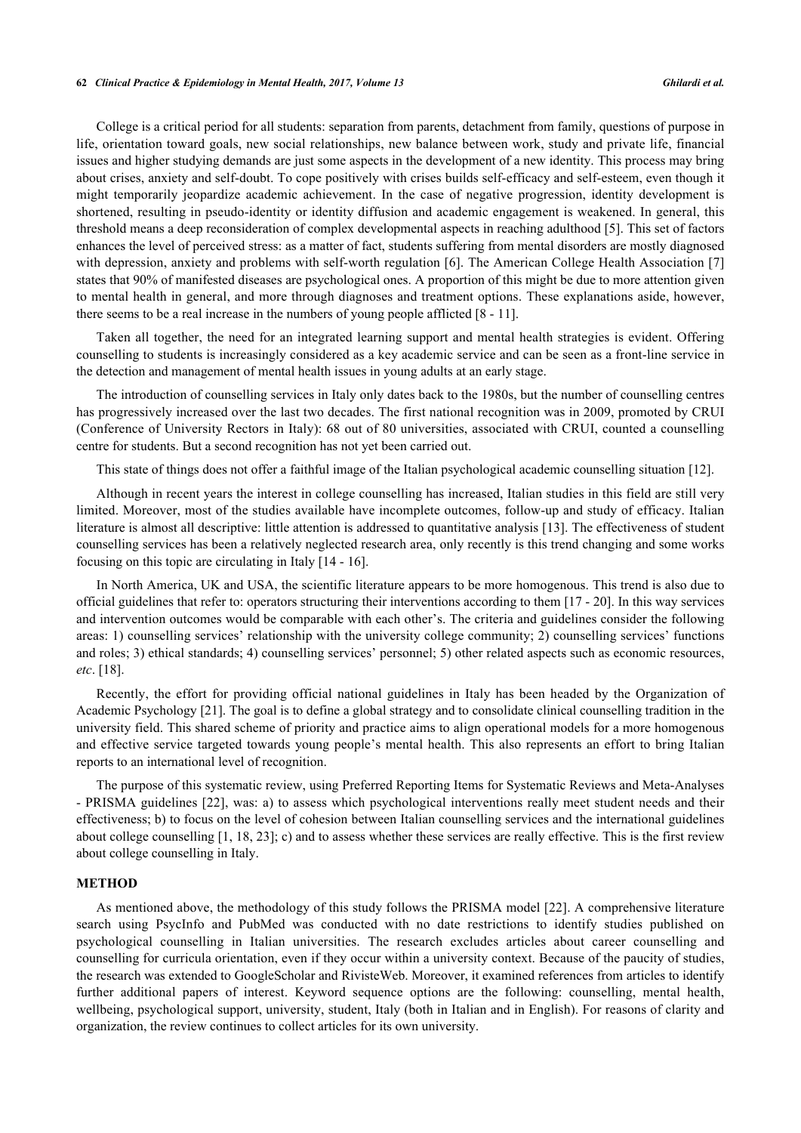### **62** *Clinical Practice & Epidemiology in Mental Health, 2017, Volume 13 Ghilardi et al.*

College is a critical period for all students: separation from parents, detachment from family, questions of purpose in life, orientation toward goals, new social relationships, new balance between work, study and private life, financial issues and higher studying demands are just some aspects in the development of a new identity. This process may bring about crises, anxiety and self-doubt. To cope positively with crises builds self-efficacy and self-esteem, even though it might temporarily jeopardize academic achievement. In the case of negative progression, identity development is shortened, resulting in pseudo-identity or identity diffusion and academic engagement is weakened. In general, this threshold means a deep reconsideration of complex developmental aspects in reaching adulthood [[5\]](#page-6-4). This set of factors enhances the level of perceived stress: as a matter of fact, students suffering from mental disorders are mostly diagnosed with depression, anxiety and problems with self-worth regulation [[6\]](#page-6-5). The American College Health Association [\[7](#page-6-6)] states that 90% of manifested diseases are psychological ones. A proportion of this might be due to more attention given to mental health in general, and more through diagnoses and treatment options. These explanations aside, however, there seems to be a real increase in the numbers of young people afflicted [[8](#page-6-7) - [11\]](#page-6-8).

Taken all together, the need for an integrated learning support and mental health strategies is evident. Offering counselling to students is increasingly considered as a key academic service and can be seen as a front-line service in the detection and management of mental health issues in young adults at an early stage.

The introduction of counselling services in Italy only dates back to the 1980s, but the number of counselling centres has progressively increased over the last two decades. The first national recognition was in 2009, promoted by CRUI (Conference of University Rectors in Italy): 68 out of 80 universities, associated with CRUI, counted a counselling centre for students. But a second recognition has not yet been carried out.

This state of things does not offer a faithful image of the Italian psychological academic counselling situation [\[12](#page-6-9)].

Although in recent years the interest in college counselling has increased, Italian studies in this field are still very limited. Moreover, most of the studies available have incomplete outcomes, follow-up and study of efficacy. Italian literature is almost all descriptive: little attention is addressed to quantitative analysis [[13\]](#page-6-10). The effectiveness of student counselling services has been a relatively neglected research area, only recently is this trend changing and some works focusing on this topic are circulating in Italy [\[14](#page-6-11) - [16](#page-6-12)].

In North America, UK and USA, the scientific literature appears to be more homogenous. This trend is also due to official guidelines that refer to: operators structuring their interventions according to them [[17](#page-6-13) - [20](#page-7-0)]. In this way services and intervention outcomes would be comparable with each other's. The criteria and guidelines consider the following areas: 1) counselling services' relationship with the university college community; 2) counselling services' functions and roles; 3) ethical standards; 4) counselling services' personnel; 5) other related aspects such as economic resources, *etc*. [[18\]](#page-6-14).

Recently, the effort for providing official national guidelines in Italy has been headed by the Organization of Academic Psychology [\[21](#page-7-1)]. The goal is to define a global strategy and to consolidate clinical counselling tradition in the university field. This shared scheme of priority and practice aims to align operational models for a more homogenous and effective service targeted towards young people's mental health. This also represents an effort to bring Italian reports to an international level of recognition.

The purpose of this systematic review, using Preferred Reporting Items for Systematic Reviews and Meta-Analyses - PRISMA guidelines [[22\]](#page-7-2), was: a) to assess which psychological interventions really meet student needs and their effectiveness; b) to focus on the level of cohesion between Italian counselling services and the international guidelines about college counselling [\[1](#page-6-0), [18,](#page-6-14) [23\]](#page-7-3); c) and to assess whether these services are really effective. This is the first review about college counselling in Italy.

### **METHOD**

As mentioned above, the methodology of this study follows the PRISMA model [[22](#page-7-2)]. A comprehensive literature search using PsycInfo and PubMed was conducted with no date restrictions to identify studies published on psychological counselling in Italian universities. The research excludes articles about career counselling and counselling for curricula orientation, even if they occur within a university context. Because of the paucity of studies, the research was extended to GoogleScholar and RivisteWeb. Moreover, it examined references from articles to identify further additional papers of interest. Keyword sequence options are the following: counselling, mental health, wellbeing, psychological support, university, student, Italy (both in Italian and in English). For reasons of clarity and organization, the review continues to collect articles for its own university.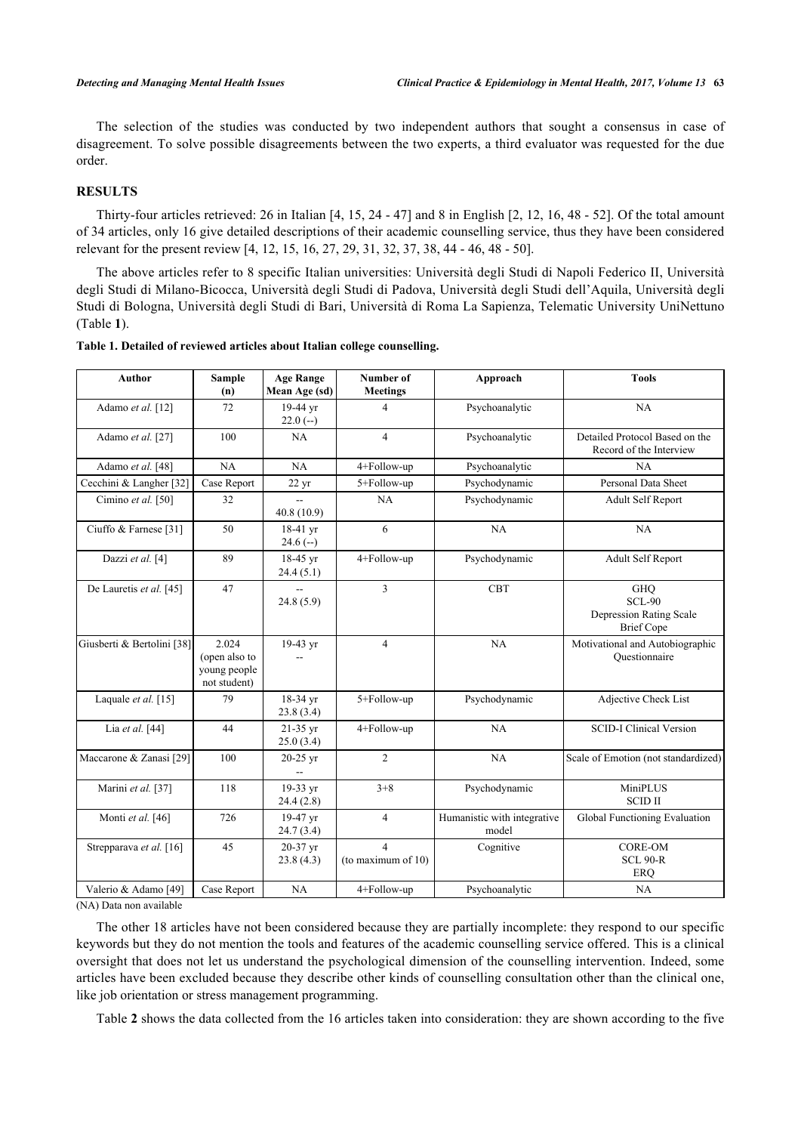The selection of the studies was conducted by two independent authors that sought a consensus in case of disagreement. To solve possible disagreements between the two experts, a third evaluator was requested for the due order.

# **RESULTS**

Thirty-four articles retrieved: 26 in Italian [\[4](#page-6-3), [15,](#page-6-15) [24](#page-7-4) - [47\]](#page-8-0) and 8 in English [\[2](#page-6-1), [12](#page-6-9), [16,](#page-6-12) [48](#page-8-1) - [52\]](#page-8-2). Of the total amount of 34 articles, only 16 give detailed descriptions of their academic counselling service, thus they have been considered relevant for the present review [[4,](#page-6-3) [12,](#page-6-9) [15,](#page-6-15) [16,](#page-6-12) [27,](#page-7-5) [29,](#page-7-6) [31,](#page-7-7) [32,](#page-7-8) [37,](#page-7-9) [38,](#page-7-10) [44](#page-7-11) - [46](#page-7-12), [48](#page-8-1) - [50](#page-8-3)].

The above articles refer to 8 specific Italian universities: Università degli Studi di Napoli Federico II, Università degli Studi di Milano-Bicocca, Università degli Studi di Padova, Università degli Studi dell'Aquila, Università degli Studi di Bologna, Università degli Studi di Bari, Università di Roma La Sapienza, Telematic University UniNettuno (Table **[1](#page-2-0)**).

| Author                     | <b>Sample</b><br>(n)                                   | <b>Age Range</b><br>Mean Age (sd) | Number of<br><b>Meetings</b> | Approach                             | <b>Tools</b>                                                                |
|----------------------------|--------------------------------------------------------|-----------------------------------|------------------------------|--------------------------------------|-----------------------------------------------------------------------------|
| Adamo et al. [12]          | 72                                                     | 19-44 yr<br>$22.0(-)$             | 4                            | Psychoanalytic                       | NA                                                                          |
| Adamo et al. [27]          | 100                                                    | NA                                | $\overline{4}$               | Psychoanalytic                       | Detailed Protocol Based on the<br>Record of the Interview                   |
| Adamo et al. [48]          | NA                                                     | NA                                | 4+Follow-up                  | Psychoanalytic                       | NA                                                                          |
| Cecchini & Langher [32]    | Case Report                                            | $22 \text{ yr}$                   | 5+Follow-up                  | Psychodynamic                        | Personal Data Sheet                                                         |
| Cimino et al. [50]         | 32                                                     | $\overline{a}$<br>40.8(10.9)      | NA                           | Psychodynamic                        | Adult Self Report                                                           |
| Ciuffo & Farnese [31]      | 50                                                     | 18-41 yr<br>$24.6(-)$             | 6                            | NA                                   | NA                                                                          |
| Dazzi et al. [4]           | 89                                                     | 18-45 yr<br>24.4(5.1)             | 4+Follow-up                  | Psychodynamic                        | Adult Self Report                                                           |
| De Lauretis et al. [45]    | 47                                                     | 24.8(5.9)                         | $\overline{3}$               | <b>CBT</b>                           | <b>GHO</b><br><b>SCL-90</b><br>Depression Rating Scale<br><b>Brief</b> Cope |
| Giusberti & Bertolini [38] | 2.024<br>(open also to<br>young people<br>not student) | 19-43 yr                          | $\overline{4}$               | NA                                   | Motivational and Autobiographic<br>Questionnaire                            |
| Laquale et al. [15]        | 79                                                     | 18-34 yr<br>23.8(3.4)             | 5+Follow-up                  | Psychodynamic                        | Adjective Check List                                                        |
| Lia et al. [44]            | 44                                                     | 21-35 yr<br>25.0(3.4)             | 4+Follow-up                  | NA                                   | <b>SCID-I Clinical Version</b>                                              |
| Maccarone & Zanasi [29]    | 100                                                    | $20-25$ yr                        | $\overline{2}$               | NA                                   | Scale of Emotion (not standardized)                                         |
| Marini et al. [37]         | 118                                                    | 19-33 yr<br>24.4(2.8)             | $3 + 8$                      | Psychodynamic                        | MiniPLUS<br><b>SCID II</b>                                                  |
| Monti et al. [46]          | 726                                                    | 19-47 yr<br>24.7(3.4)             | $\overline{4}$               | Humanistic with integrative<br>model | Global Functioning Evaluation                                               |
| Strepparava et al. [16]    | 45                                                     | 20-37 yr<br>23.8(4.3)             | 4<br>(to maximum of $10$ )   | Cognitive                            | <b>CORE-OM</b><br><b>SCL 90-R</b><br>ERQ                                    |
| Valerio & Adamo [49]       | Case Report                                            | NA                                | 4+Follow-up                  | Psychoanalytic                       | NA                                                                          |

### <span id="page-2-0"></span>**Table 1. Detailed of reviewed articles about Italian college counselling.**

(NA) Data non available

The other 18 articles have not been considered because they are partially incomplete: they respond to our specific keywords but they do not mention the tools and features of the academic counselling service offered. This is a clinical oversight that does not let us understand the psychological dimension of the counselling intervention. Indeed, some articles have been excluded because they describe other kinds of counselling consultation other than the clinical one, like job orientation or stress management programming.

Table **[2](#page-3-0)** shows the data collected from the 16 articles taken into consideration: they are shown according to the five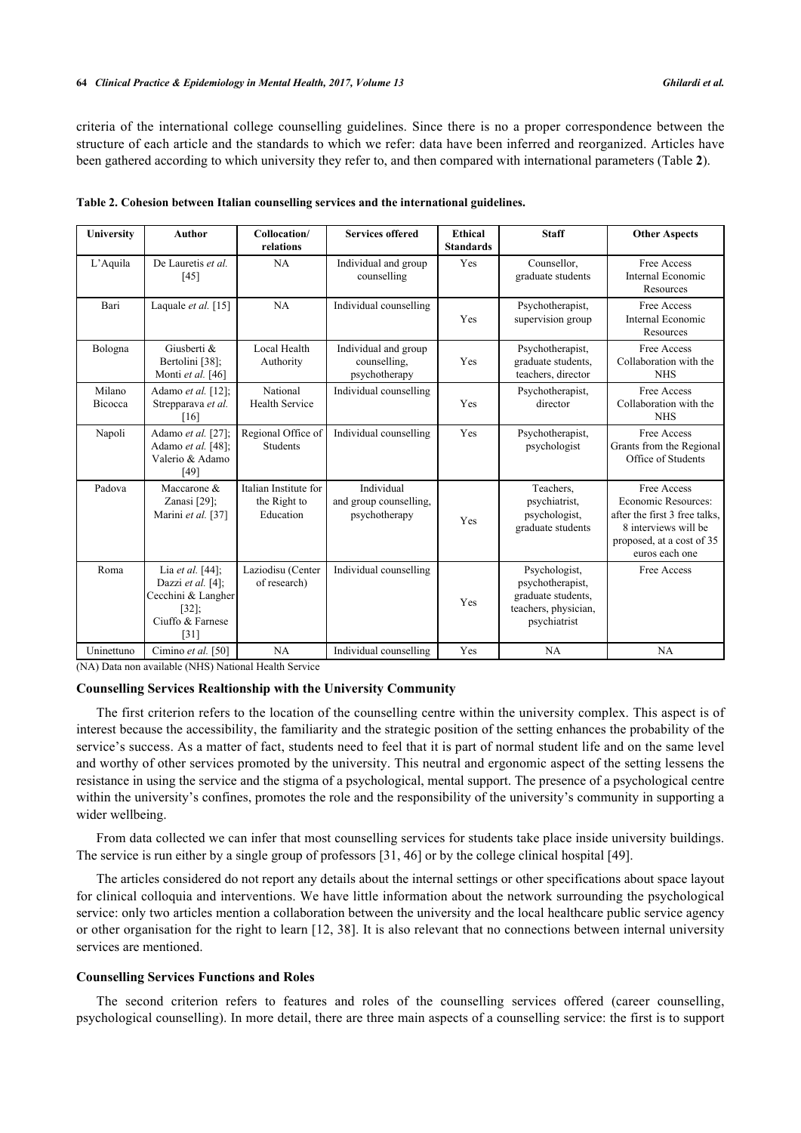criteria of the international college counselling guidelines. Since there is no a proper correspondence between the structure of each article and the standards to which we refer: data have been inferred and reorganized. Articles have been gathered according to which university they refer to, and then compared with international parameters (Table **[2](#page-3-0)**).

| University               | <b>Author</b>                                                                                                     | Collocation/<br>relations                          | <b>Services offered</b>                               | <b>Ethical</b><br><b>Standards</b> | <b>Staff</b>                                                                                    | <b>Other Aspects</b>                                                                                                                       |
|--------------------------|-------------------------------------------------------------------------------------------------------------------|----------------------------------------------------|-------------------------------------------------------|------------------------------------|-------------------------------------------------------------------------------------------------|--------------------------------------------------------------------------------------------------------------------------------------------|
| L'Aquila                 | De Lauretis et al.<br>[45]                                                                                        | NA                                                 | Individual and group<br>counselling                   | Yes                                | Counsellor,<br>graduate students                                                                | Free Access<br>Internal Economic<br>Resources                                                                                              |
| Bari                     | Laquale et al. [15]                                                                                               | NA                                                 | Individual counselling                                | Yes                                | Psychotherapist,<br>supervision group                                                           | Free Access<br>Internal Economic<br>Resources                                                                                              |
| Bologna                  | Giusberti &<br>Bertolini [38];<br>Monti et al. [46]                                                               | Local Health<br>Authority                          | Individual and group<br>counselling.<br>psychotherapy | Yes                                | Psychotherapist,<br>graduate students,<br>teachers, director                                    | Free Access<br>Collaboration with the<br><b>NHS</b>                                                                                        |
| Milano<br><b>Bicocca</b> | Adamo et al. [12];<br>Strepparava et al.<br>[16]                                                                  | National<br><b>Health Service</b>                  | Individual counselling                                | Yes                                | Psychotherapist,<br>director                                                                    | Free Access<br>Collaboration with the<br><b>NHS</b>                                                                                        |
| Napoli                   | Adamo et al. [27];<br>Adamo et al. [48];<br>Valerio & Adamo<br>$[49]$                                             | Regional Office of<br><b>Students</b>              | Individual counselling                                | Yes                                | Psychotherapist,<br>psychologist                                                                | Free Access<br>Grants from the Regional<br>Office of Students                                                                              |
| Padova                   | Maccarone &<br>Zanasi [29];<br>Marini et al. [37]                                                                 | Italian Institute for<br>the Right to<br>Education | Individual<br>and group counselling,<br>psychotherapy | Yes                                | Teachers.<br>psychiatrist,<br>psychologist,<br>graduate students                                | Free Access<br>Economic Resources:<br>after the first 3 free talks,<br>8 interviews will be<br>proposed, at a cost of 35<br>euros each one |
| Roma                     | Lia et al. [44];<br>Dazzi et al. [4];<br>Cecchini & Langher<br>$[32]$ ;<br>Ciuffo & Farnese<br>$\lceil 31 \rceil$ | Laziodisu (Center<br>of research)                  | Individual counselling                                | Yes                                | Psychologist,<br>psychotherapist,<br>graduate students,<br>teachers, physician,<br>psychiatrist | Free Access                                                                                                                                |
| Uninettuno               | Cimino et al. [50]                                                                                                | NA                                                 | Individual counselling                                | Yes                                | NA                                                                                              | NA                                                                                                                                         |

<span id="page-3-0"></span>**Table 2. Cohesion between Italian counselling services and the international guidelines.**

(NA) Data non available (NHS) National Health Service

# **Counselling Services Realtionship with the University Community**

The first criterion refers to the location of the counselling centre within the university complex. This aspect is of interest because the accessibility, the familiarity and the strategic position of the setting enhances the probability of the service's success. As a matter of fact, students need to feel that it is part of normal student life and on the same level and worthy of other services promoted by the university. This neutral and ergonomic aspect of the setting lessens the resistance in using the service and the stigma of a psychological, mental support. The presence of a psychological centre within the university's confines, promotes the role and the responsibility of the university's community in supporting a wider wellbeing.

From data collected we can infer that most counselling services for students take place inside university buildings. The service is run either by a single group of professors [\[31](#page-7-7), [46](#page-7-12)] or by the college clinical hospital [[49\]](#page-8-4).

The articles considered do not report any details about the internal settings or other specifications about space layout for clinical colloquia and interventions. We have little information about the network surrounding the psychological service: only two articles mention a collaboration between the university and the local healthcare public service agency or other organisation for the right to learn [\[12](#page-6-9), [38](#page-7-10)]. It is also relevant that no connections between internal university services are mentioned.

### **Counselling Services Functions and Roles**

The second criterion refers to features and roles of the counselling services offered (career counselling, psychological counselling). In more detail, there are three main aspects of a counselling service: the first is to support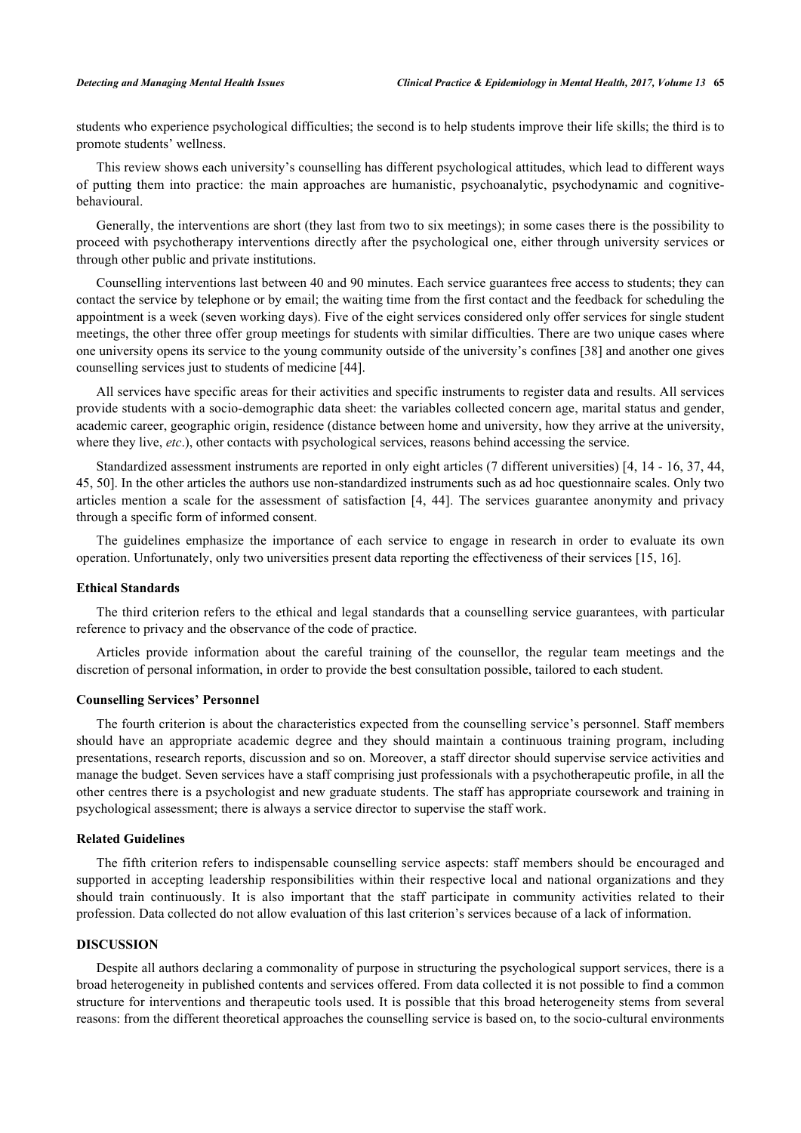students who experience psychological difficulties; the second is to help students improve their life skills; the third is to promote students' wellness.

This review shows each university's counselling has different psychological attitudes, which lead to different ways of putting them into practice: the main approaches are humanistic, psychoanalytic, psychodynamic and cognitivebehavioural.

Generally, the interventions are short (they last from two to six meetings); in some cases there is the possibility to proceed with psychotherapy interventions directly after the psychological one, either through university services or through other public and private institutions.

Counselling interventions last between 40 and 90 minutes. Each service guarantees free access to students; they can contact the service by telephone or by email; the waiting time from the first contact and the feedback for scheduling the appointment is a week (seven working days). Five of the eight services considered only offer services for single student meetings, the other three offer group meetings for students with similar difficulties. There are two unique cases where one university opens its service to the young community outside of the university's confines [[38\]](#page-7-10) and another one gives counselling services just to students of medicine [[44\]](#page-7-11).

All services have specific areas for their activities and specific instruments to register data and results. All services provide students with a socio-demographic data sheet: the variables collected concern age, marital status and gender, academic career, geographic origin, residence (distance between home and university, how they arrive at the university, where they live, *etc.*), other contacts with psychological services, reasons behind accessing the service.

Standardized assessment instruments are reported in only eight articles (7 different universities) [\[4](#page-6-3), [14](#page-6-11) - [16](#page-6-12), [37,](#page-7-9) [44](#page-7-11), [45,](#page-7-13) [50\]](#page-8-3). In the other articles the authors use non-standardized instruments such as ad hoc questionnaire scales. Only two articles mention a scale for the assessment of satisfaction [\[4](#page-6-3), [44](#page-7-11)]. The services guarantee anonymity and privacy through a specific form of informed consent.

The guidelines emphasize the importance of each service to engage in research in order to evaluate its own operation. Unfortunately, only two universities present data reporting the effectiveness of their services [[15,](#page-6-15) [16\]](#page-6-12).

### **Ethical Standards**

The third criterion refers to the ethical and legal standards that a counselling service guarantees, with particular reference to privacy and the observance of the code of practice.

Articles provide information about the careful training of the counsellor, the regular team meetings and the discretion of personal information, in order to provide the best consultation possible, tailored to each student.

### **Counselling Services' Personnel**

The fourth criterion is about the characteristics expected from the counselling service's personnel. Staff members should have an appropriate academic degree and they should maintain a continuous training program, including presentations, research reports, discussion and so on. Moreover, a staff director should supervise service activities and manage the budget. Seven services have a staff comprising just professionals with a psychotherapeutic profile, in all the other centres there is a psychologist and new graduate students. The staff has appropriate coursework and training in psychological assessment; there is always a service director to supervise the staff work.

### **Related Guidelines**

The fifth criterion refers to indispensable counselling service aspects: staff members should be encouraged and supported in accepting leadership responsibilities within their respective local and national organizations and they should train continuously. It is also important that the staff participate in community activities related to their profession. Data collected do not allow evaluation of this last criterion's services because of a lack of information.

### **DISCUSSION**

Despite all authors declaring a commonality of purpose in structuring the psychological support services, there is a broad heterogeneity in published contents and services offered. From data collected it is not possible to find a common structure for interventions and therapeutic tools used. It is possible that this broad heterogeneity stems from several reasons: from the different theoretical approaches the counselling service is based on, to the socio-cultural environments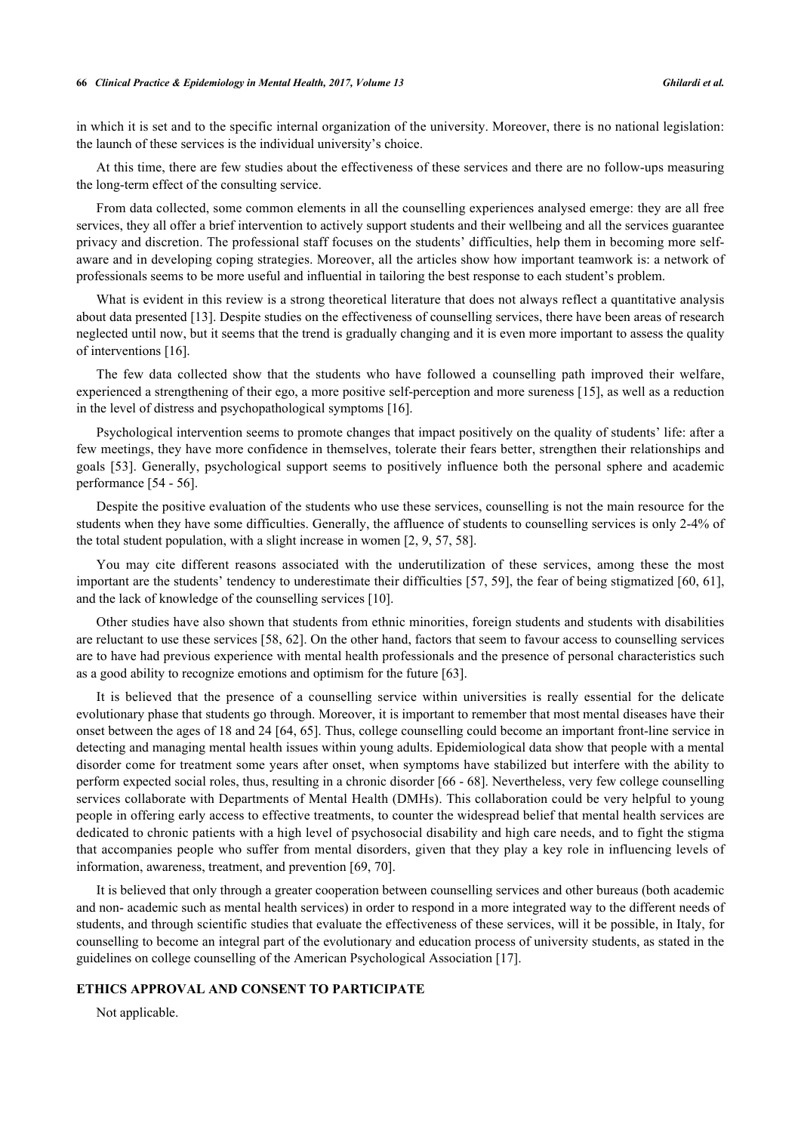### **66** *Clinical Practice & Epidemiology in Mental Health, 2017, Volume 13 Ghilardi et al.*

in which it is set and to the specific internal organization of the university. Moreover, there is no national legislation: the launch of these services is the individual university's choice.

At this time, there are few studies about the effectiveness of these services and there are no follow-ups measuring the long-term effect of the consulting service.

From data collected, some common elements in all the counselling experiences analysed emerge: they are all free services, they all offer a brief intervention to actively support students and their wellbeing and all the services guarantee privacy and discretion. The professional staff focuses on the students' difficulties, help them in becoming more selfaware and in developing coping strategies. Moreover, all the articles show how important teamwork is: a network of professionals seems to be more useful and influential in tailoring the best response to each student's problem.

What is evident in this review is a strong theoretical literature that does not always reflect a quantitative analysis about data presented [[13\]](#page-6-10). Despite studies on the effectiveness of counselling services, there have been areas of research neglected until now, but it seems that the trend is gradually changing and it is even more important to assess the quality of interventions [[16\]](#page-6-12).

The few data collected show that the students who have followed a counselling path improved their welfare, experienced a strengthening of their ego, a more positive self-perception and more sureness [[15\]](#page-6-15), as well as a reduction in the level of distress and psychopathological symptoms [\[16](#page-6-12)].

Psychological intervention seems to promote changes that impact positively on the quality of students' life: after a few meetings, they have more confidence in themselves, tolerate their fears better, strengthen their relationships and goals [[53\]](#page-8-5). Generally, psychological support seems to positively influence both the personal sphere and academic performance [\[54](#page-8-6) - [56](#page-8-7)].

Despite the positive evaluation of the students who use these services, counselling is not the main resource for the students when they have some difficulties. Generally, the affluence of students to counselling services is only 2-4% of the total student population, with a slight increase in women [[2,](#page-6-1) [9,](#page-6-16) [57,](#page-8-8) [58\]](#page-8-9).

You may cite different reasons associated with the underutilization of these services, among these the most important are the students' tendency to underestimate their difficulties [[57,](#page-8-8) [59](#page-8-10)], the fear of being stigmatized [\[60](#page-8-11), [61\]](#page-8-12), and the lack of knowledge of the counselling services [[10\]](#page-6-17).

Other studies have also shown that students from ethnic minorities, foreign students and students with disabilities are reluctant to use these services [\[58](#page-8-9), [62](#page-8-13)]. On the other hand, factors that seem to favour access to counselling services are to have had previous experience with mental health professionals and the presence of personal characteristics such as a good ability to recognize emotions and optimism for the future [[63\]](#page-8-14).

It is believed that the presence of a counselling service within universities is really essential for the delicate evolutionary phase that students go through. Moreover, it is important to remember that most mental diseases have their onset between the ages of 18 and 24 [[64](#page-8-15), [65](#page-8-16)]. Thus, college counselling could become an important front-line service in detecting and managing mental health issues within young adults. Epidemiological data show that people with a mental disorder come for treatment some years after onset, when symptoms have stabilized but interfere with the ability to perform expected social roles, thus, resulting in a chronic disorder [[66](#page-8-17) - [68](#page-9-0)]. Nevertheless, very few college counselling services collaborate with Departments of Mental Health (DMHs). This collaboration could be very helpful to young people in offering early access to effective treatments, to counter the widespread belief that mental health services are dedicated to chronic patients with a high level of psychosocial disability and high care needs, and to fight the stigma that accompanies people who suffer from mental disorders, given that they play a key role in influencing levels of information, awareness, treatment, and prevention [\[69](#page-9-1), [70](#page-9-2)].

It is believed that only through a greater cooperation between counselling services and other bureaus (both academic and non- academic such as mental health services) in order to respond in a more integrated way to the different needs of students, and through scientific studies that evaluate the effectiveness of these services, will it be possible, in Italy, for counselling to become an integral part of the evolutionary and education process of university students, as stated in the guidelines on college counselling of the American Psychological Association [[17\]](#page-6-13).

# **ETHICS APPROVAL AND CONSENT TO PARTICIPATE**

Not applicable.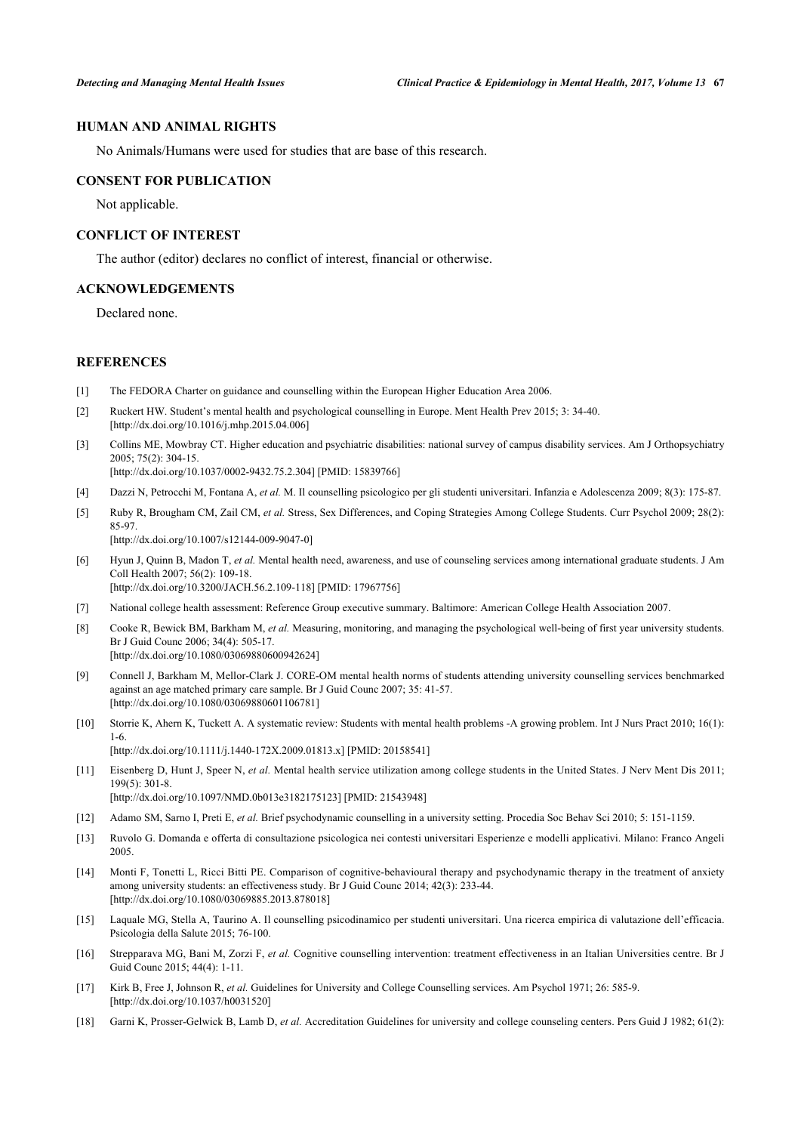# **HUMAN AND ANIMAL RIGHTS**

No Animals/Humans were used for studies that are base of this research.

### **CONSENT FOR PUBLICATION**

Not applicable.

# **CONFLICT OF INTEREST**

The author (editor) declares no conflict of interest, financial or otherwise.

# **ACKNOWLEDGEMENTS**

Declared none.

# **REFERENCES**

- <span id="page-6-0"></span>[1] The FEDORA Charter on guidance and counselling within the European Higher Education Area 2006.
- <span id="page-6-1"></span>[2] Ruckert HW. Student's mental health and psychological counselling in Europe. Ment Health Prev 2015; 3: 34-40. [\[http://dx.doi.org/10.1016/j.mhp.2015.04.006](http://dx.doi.org/10.1016/j.mhp.2015.04.006)]
- <span id="page-6-2"></span>[3] Collins ME, Mowbray CT. Higher education and psychiatric disabilities: national survey of campus disability services. Am J Orthopsychiatry 2005; 75(2): 304-15.

[\[http://dx.doi.org/10.1037/0002-9432.75.2.304](http://dx.doi.org/10.1037/0002-9432.75.2.304)] [PMID: [15839766](http://www.ncbi.nlm.nih.gov/pubmed/15839766)]

- <span id="page-6-3"></span>[4] Dazzi N, Petrocchi M, Fontana A, *et al.* M. Il counselling psicologico per gli studenti universitari. Infanzia e Adolescenza 2009; 8(3): 175-87.
- <span id="page-6-4"></span>[5] Ruby R, Brougham CM, Zail CM, *et al.* Stress, Sex Differences, and Coping Strategies Among College Students. Curr Psychol 2009; 28(2): 85-97.

[\[http://dx.doi.org/10.1007/s12144-009-9047-0\]](http://dx.doi.org/10.1007/s12144-009-9047-0)

- <span id="page-6-5"></span>[6] Hyun J, Quinn B, Madon T, *et al.* Mental health need, awareness, and use of counseling services among international graduate students. J Am Coll Health 2007; 56(2): 109-18. [\[http://dx.doi.org/10.3200/JACH.56.2.109-118](http://dx.doi.org/10.3200/JACH.56.2.109-118)] [PMID: [17967756](http://www.ncbi.nlm.nih.gov/pubmed/17967756)]
- <span id="page-6-6"></span>[7] National college health assessment: Reference Group executive summary. Baltimore: American College Health Association 2007.
- <span id="page-6-7"></span>[8] Cooke R, Bewick BM, Barkham M, *et al.* Measuring, monitoring, and managing the psychological well-being of first year university students. Br J Guid Counc 2006; 34(4): 505-17. [\[http://dx.doi.org/10.1080/03069880600942624\]](http://dx.doi.org/10.1080/03069880600942624)
- <span id="page-6-16"></span>[9] Connell J, Barkham M, Mellor-Clark J. CORE-OM mental health norms of students attending university counselling services benchmarked against an age matched primary care sample. Br J Guid Counc 2007; 35: 41-57. [\[http://dx.doi.org/10.1080/03069880601106781\]](http://dx.doi.org/10.1080/03069880601106781)
- <span id="page-6-17"></span>[10] Storrie K, Ahern K, Tuckett A. A systematic review: Students with mental health problems -A growing problem. Int J Nurs Pract 2010; 16(1): 1-6. [\[http://dx.doi.org/10.1111/j.1440-172X.2009.01813.x](http://dx.doi.org/10.1111/j.1440-172X.2009.01813.x)] [PMID: [20158541](http://www.ncbi.nlm.nih.gov/pubmed/20158541)]
- <span id="page-6-8"></span>[11] Eisenberg D, Hunt J, Speer N, *et al.* Mental health service utilization among college students in the United States. J Nerv Ment Dis 2011; 199(5): 301-8. [\[http://dx.doi.org/10.1097/NMD.0b013e3182175123](http://dx.doi.org/10.1097/NMD.0b013e3182175123)] [PMID: [21543948\]](http://www.ncbi.nlm.nih.gov/pubmed/21543948)
- <span id="page-6-9"></span>[12] Adamo SM, Sarno I, Preti E, *et al.* Brief psychodynamic counselling in a university setting. Procedia Soc Behav Sci 2010; 5: 151-1159.
- <span id="page-6-10"></span>[13] Ruvolo G. Domanda e offerta di consultazione psicologica nei contesti universitari Esperienze e modelli applicativi. Milano: Franco Angeli 2005.
- <span id="page-6-11"></span>[14] Monti F, Tonetti L, Ricci Bitti PE. Comparison of cognitive-behavioural therapy and psychodynamic therapy in the treatment of anxiety among university students: an effectiveness study. Br J Guid Counc 2014; 42(3): 233-44. [\[http://dx.doi.org/10.1080/03069885.2013.878018\]](http://dx.doi.org/10.1080/03069885.2013.878018)
- <span id="page-6-15"></span>[15] Laquale MG, Stella A, Taurino A. Il counselling psicodinamico per studenti universitari. Una ricerca empirica di valutazione dell'efficacia. Psicologia della Salute 2015; 76-100.
- <span id="page-6-12"></span>[16] Strepparava MG, Bani M, Zorzi F, *et al.* Cognitive counselling intervention: treatment effectiveness in an Italian Universities centre. Br J Guid Counc 2015; 44(4): 1-11.
- <span id="page-6-13"></span>[17] Kirk B, Free J, Johnson R, *et al.* Guidelines for University and College Counselling services. Am Psychol 1971; 26: 585-9. [\[http://dx.doi.org/10.1037/h0031520\]](http://dx.doi.org/10.1037/h0031520)
- <span id="page-6-14"></span>[18] Garni K, Prosser-Gelwick B, Lamb D, *et al.* Accreditation Guidelines for university and college counseling centers. Pers Guid J 1982; 61(2):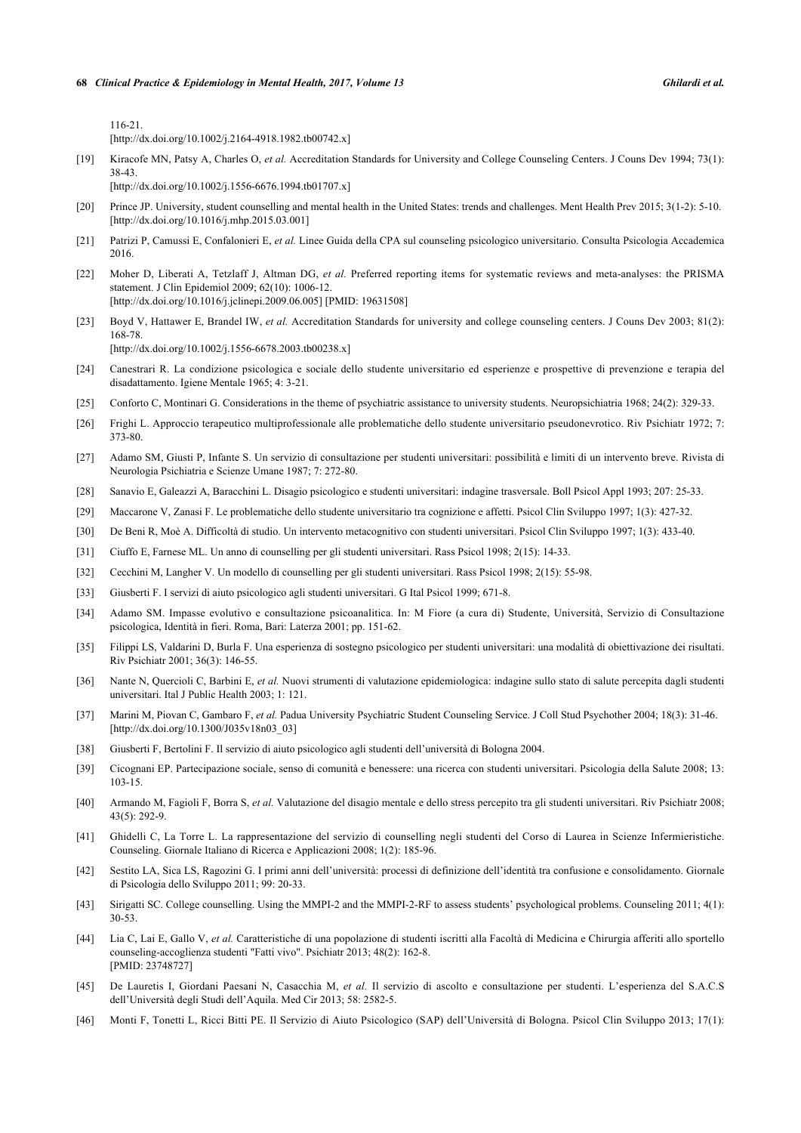116-21.

[\[http://dx.doi.org/10.1002/j.2164-4918.1982.tb00742.x\]](http://dx.doi.org/10.1002/j.2164-4918.1982.tb00742.x)

[19] Kiracofe MN, Patsy A, Charles O, *et al.* Accreditation Standards for University and College Counseling Centers. J Couns Dev 1994; 73(1): 38-43.

[\[http://dx.doi.org/10.1002/j.1556-6676.1994.tb01707.x\]](http://dx.doi.org/10.1002/j.1556-6676.1994.tb01707.x)

- <span id="page-7-0"></span>[20] Prince JP. University, student counselling and mental health in the United States: trends and challenges. Ment Health Prev 2015; 3(1-2): 5-10. [\[http://dx.doi.org/10.1016/j.mhp.2015.03.001](http://dx.doi.org/10.1016/j.mhp.2015.03.001)]
- <span id="page-7-1"></span>[21] Patrizi P, Camussi E, Confalonieri E, *et al.* Linee Guida della CPA sul counseling psicologico universitario. Consulta Psicologia Accademica 2016.
- <span id="page-7-2"></span>[22] Moher D, Liberati A, Tetzlaff J, Altman DG, *et al.* Preferred reporting items for systematic reviews and meta-analyses: the PRISMA statement. J Clin Epidemiol 2009; 62(10): 1006-12. [\[http://dx.doi.org/10.1016/j.jclinepi.2009.06.005](http://dx.doi.org/10.1016/j.jclinepi.2009.06.005)] [PMID: [19631508\]](http://www.ncbi.nlm.nih.gov/pubmed/19631508)
- <span id="page-7-3"></span>[23] Boyd V, Hattawer E, Brandel IW, *et al.* Accreditation Standards for university and college counseling centers. J Couns Dev 2003; 81(2): 168-78. [\[http://dx.doi.org/10.1002/j.1556-6678.2003.tb00238.x\]](http://dx.doi.org/10.1002/j.1556-6678.2003.tb00238.x)
- <span id="page-7-4"></span>[24] Canestrari R. La condizione psicologica e sociale dello studente universitario ed esperienze e prospettive di prevenzione e terapia del disadattamento. Igiene Mentale 1965; 4: 3-21.
- [25] Conforto C, Montinari G. Considerations in the theme of psychiatric assistance to university students. Neuropsichiatria 1968; 24(2): 329-33.
- [26] Frighi L. Approccio terapeutico multiprofessionale alle problematiche dello studente universitario pseudonevrotico. Riv Psichiatr 1972; 7: 373-80.
- <span id="page-7-5"></span>[27] Adamo SM, Giusti P, Infante S. Un servizio di consultazione per studenti universitari: possibilità e limiti di un intervento breve. Rivista di Neurologia Psichiatria e Scienze Umane 1987; 7: 272-80.
- [28] Sanavio E, Galeazzi A, Baracchini L. Disagio psicologico e studenti universitari: indagine trasversale. Boll Psicol Appl 1993; 207: 25-33.
- <span id="page-7-6"></span>[29] Maccarone V, Zanasi F. Le problematiche dello studente universitario tra cognizione e affetti. Psicol Clin Sviluppo 1997; 1(3): 427-32.
- [30] De Beni R, Moè A. Difficoltà di studio. Un intervento metacognitivo con studenti universitari. Psicol Clin Sviluppo 1997; 1(3): 433-40.
- <span id="page-7-7"></span>[31] Ciuffo E, Farnese ML. Un anno di counselling per gli studenti universitari. Rass Psicol 1998; 2(15): 14-33.
- <span id="page-7-8"></span>[32] Cecchini M, Langher V. Un modello di counselling per gli studenti universitari. Rass Psicol 1998; 2(15): 55-98.
- [33] Giusberti F. I servizi di aiuto psicologico agli studenti universitari. G Ital Psicol 1999; 671-8.
- [34] Adamo SM. Impasse evolutivo e consultazione psicoanalitica. In: M Fiore (a cura di) Studente, Università, Servizio di Consultazione psicologica, Identità in fieri. Roma, Bari: Laterza 2001; pp. 151-62.
- [35] Filippi LS, Valdarini D, Burla F. Una esperienza di sostegno psicologico per studenti universitari: una modalità di obiettivazione dei risultati. Riv Psichiatr 2001; 36(3): 146-55.
- [36] Nante N, Quercioli C, Barbini E, *et al.* Nuovi strumenti di valutazione epidemiologica: indagine sullo stato di salute percepita dagli studenti universitari. Ital J Public Health 2003; 1: 121.
- <span id="page-7-9"></span>[37] Marini M, Piovan C, Gambaro F, *et al.* Padua University Psychiatric Student Counseling Service. J Coll Stud Psychother 2004; 18(3): 31-46. [\[http://dx.doi.org/10.1300/J035v18n03\\_03\]](http://dx.doi.org/10.1300/J035v18n03_03)
- <span id="page-7-10"></span>[38] Giusberti F, Bertolini F. Il servizio di aiuto psicologico agli studenti dell'università di Bologna 2004.
- [39] Cicognani EP. Partecipazione sociale, senso di comunità e benessere: una ricerca con studenti universitari. Psicologia della Salute 2008; 13: 103-15.
- [40] Armando M, Fagioli F, Borra S, *et al.* Valutazione del disagio mentale e dello stress percepito tra gli studenti universitari. Riv Psichiatr 2008; 43(5): 292-9.
- [41] Ghidelli C, La Torre L. La rappresentazione del servizio di counselling negli studenti del Corso di Laurea in Scienze Infermieristiche. Counseling. Giornale Italiano di Ricerca e Applicazioni 2008; 1(2): 185-96.
- [42] Sestito LA, Sica LS, Ragozini G. I primi anni dell'università: processi di definizione dell'identità tra confusione e consolidamento. Giornale di Psicologia dello Sviluppo 2011; 99: 20-33.
- [43] Sirigatti SC. College counselling. Using the MMPI-2 and the MMPI-2-RF to assess students' psychological problems. Counseling 2011; 4(1): 30-53.
- <span id="page-7-11"></span>[44] Lia C, Lai E, Gallo V, *et al.* Caratteristiche di una popolazione di studenti iscritti alla Facoltà di Medicina e Chirurgia afferiti allo sportello counseling-accoglienza studenti "Fatti vivo". Psichiatr 2013; 48(2): 162-8. [PMID: [23748727\]](http://www.ncbi.nlm.nih.gov/pubmed/23748727)
- <span id="page-7-13"></span>[45] De Lauretis I, Giordani Paesani N, Casacchia M, *et al.* Il servizio di ascolto e consultazione per studenti. L'esperienza del S.A.C.S dell'Università degli Studi dell'Aquila. Med Cir 2013; 58: 2582-5.
- <span id="page-7-12"></span>[46] Monti F, Tonetti L, Ricci Bitti PE. Il Servizio di Aiuto Psicologico (SAP) dell'Università di Bologna. Psicol Clin Sviluppo 2013; 17(1):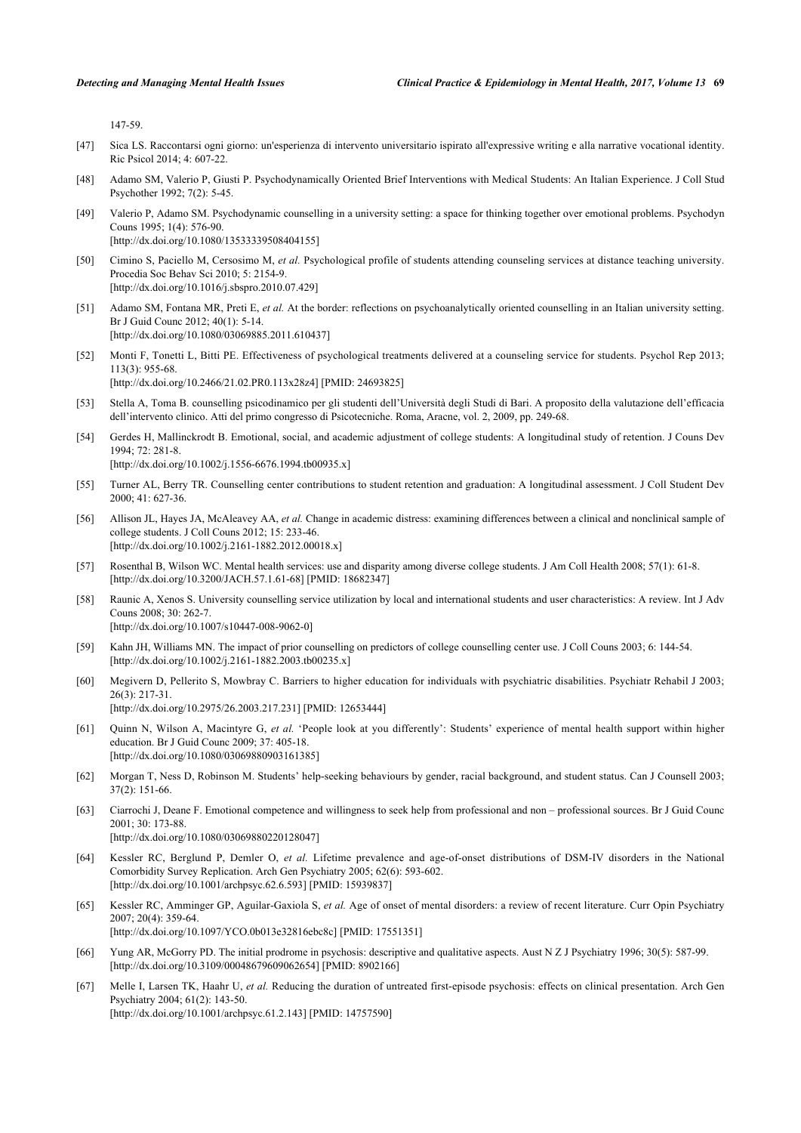147-59.

- <span id="page-8-0"></span>[47] Sica LS. Raccontarsi ogni giorno: un'esperienza di intervento universitario ispirato all'expressive writing e alla narrative vocational identity. Ric Psicol 2014; 4: 607-22.
- <span id="page-8-1"></span>[48] Adamo SM, Valerio P, Giusti P. Psychodynamically Oriented Brief Interventions with Medical Students: An Italian Experience. J Coll Stud Psychother 1992; 7(2): 5-45.
- <span id="page-8-4"></span>[49] Valerio P, Adamo SM. Psychodynamic counselling in a university setting: a space for thinking together over emotional problems. Psychodyn Couns 1995; 1(4): 576-90. [\[http://dx.doi.org/10.1080/13533339508404155\]](http://dx.doi.org/10.1080/13533339508404155)
- <span id="page-8-3"></span>[50] Cimino S, Paciello M, Cersosimo M, *et al.* Psychological profile of students attending counseling services at distance teaching university. Procedia Soc Behav Sci 2010; 5: 2154-9. [\[http://dx.doi.org/10.1016/j.sbspro.2010.07.429\]](http://dx.doi.org/10.1016/j.sbspro.2010.07.429)
- [51] Adamo SM, Fontana MR, Preti E, *et al.* At the border: reflections on psychoanalytically oriented counselling in an Italian university setting. Br J Guid Counc 2012; 40(1): 5-14. [\[http://dx.doi.org/10.1080/03069885.2011.610437\]](http://dx.doi.org/10.1080/03069885.2011.610437)
- <span id="page-8-2"></span>[52] Monti F, Tonetti L, Bitti PE. Effectiveness of psychological treatments delivered at a counseling service for students. Psychol Rep 2013; 113(3): 955-68. [\[http://dx.doi.org/10.2466/21.02.PR0.113x28z4](http://dx.doi.org/10.2466/21.02.PR0.113x28z4)] [PMID: [24693825\]](http://www.ncbi.nlm.nih.gov/pubmed/24693825)
- <span id="page-8-5"></span>[53] Stella A, Toma B. counselling psicodinamico per gli studenti dell'Università degli Studi di Bari. A proposito della valutazione dell'efficacia dell'intervento clinico. Atti del primo congresso di Psicotecniche. Roma, Aracne, vol. 2, 2009, pp. 249-68.
- <span id="page-8-6"></span>[54] Gerdes H, Mallinckrodt B. Emotional, social, and academic adjustment of college students: A longitudinal study of retention. J Couns Dev 1994; 72: 281-8.
	- [\[http://dx.doi.org/10.1002/j.1556-6676.1994.tb00935.x\]](http://dx.doi.org/10.1002/j.1556-6676.1994.tb00935.x)
- [55] Turner AL, Berry TR. Counselling center contributions to student retention and graduation: A longitudinal assessment. J Coll Student Dev 2000; 41: 627-36.
- <span id="page-8-7"></span>[56] Allison JL, Hayes JA, McAleavey AA, *et al.* Change in academic distress: examining differences between a clinical and nonclinical sample of college students. J Coll Couns 2012; 15: 233-46. [\[http://dx.doi.org/10.1002/j.2161-1882.2012.00018.x\]](http://dx.doi.org/10.1002/j.2161-1882.2012.00018.x)
- <span id="page-8-8"></span>[57] Rosenthal B, Wilson WC. Mental health services: use and disparity among diverse college students. J Am Coll Health 2008; 57(1): 61-8. [\[http://dx.doi.org/10.3200/JACH.57.1.61-68](http://dx.doi.org/10.3200/JACH.57.1.61-68)] [PMID: [18682347](http://www.ncbi.nlm.nih.gov/pubmed/18682347)]
- <span id="page-8-9"></span>[58] Raunic A, Xenos S. University counselling service utilization by local and international students and user characteristics: A review. Int J Adv Couns 2008; 30: 262-7. [\[http://dx.doi.org/10.1007/s10447-008-9062-0\]](http://dx.doi.org/10.1007/s10447-008-9062-0)
- <span id="page-8-10"></span>[59] Kahn JH, Williams MN. The impact of prior counselling on predictors of college counselling center use. J Coll Couns 2003; 6: 144-54. [\[http://dx.doi.org/10.1002/j.2161-1882.2003.tb00235.x\]](http://dx.doi.org/10.1002/j.2161-1882.2003.tb00235.x)
- <span id="page-8-11"></span>[60] Megivern D, Pellerito S, Mowbray C. Barriers to higher education for individuals with psychiatric disabilities. Psychiatr Rehabil J 2003; 26(3): 217-31.

[\[http://dx.doi.org/10.2975/26.2003.217.231\]](http://dx.doi.org/10.2975/26.2003.217.231) [PMID: [12653444](http://www.ncbi.nlm.nih.gov/pubmed/12653444)]

- <span id="page-8-12"></span>[61] Quinn N, Wilson A, Macintyre G, *et al.* 'People look at you differently': Students' experience of mental health support within higher education. Br J Guid Counc 2009; 37: 405-18. [\[http://dx.doi.org/10.1080/03069880903161385\]](http://dx.doi.org/10.1080/03069880903161385)
- <span id="page-8-13"></span>[62] Morgan T, Ness D, Robinson M. Students' help-seeking behaviours by gender, racial background, and student status. Can J Counsell 2003; 37(2): 151-66.
- <span id="page-8-14"></span>[63] Ciarrochi J, Deane F. Emotional competence and willingness to seek help from professional and non – professional sources. Br J Guid Counc 2001; 30: 173-88. [\[http://dx.doi.org/10.1080/03069880220128047\]](http://dx.doi.org/10.1080/03069880220128047)
- <span id="page-8-15"></span>[64] Kessler RC, Berglund P, Demler O, *et al.* Lifetime prevalence and age-of-onset distributions of DSM-IV disorders in the National Comorbidity Survey Replication. Arch Gen Psychiatry 2005; 62(6): 593-602. [\[http://dx.doi.org/10.1001/archpsyc.62.6.593](http://dx.doi.org/10.1001/archpsyc.62.6.593)] [PMID: [15939837\]](http://www.ncbi.nlm.nih.gov/pubmed/15939837)
- <span id="page-8-16"></span>[65] Kessler RC, Amminger GP, Aguilar-Gaxiola S, *et al.* Age of onset of mental disorders: a review of recent literature. Curr Opin Psychiatry 2007; 20(4): 359-64. [\[http://dx.doi.org/10.1097/YCO.0b013e32816ebc8c\]](http://dx.doi.org/10.1097/YCO.0b013e32816ebc8c) [PMID: [17551351](http://www.ncbi.nlm.nih.gov/pubmed/17551351)]
- <span id="page-8-17"></span>[66] Yung AR, McGorry PD. The initial prodrome in psychosis: descriptive and qualitative aspects. Aust N Z J Psychiatry 1996; 30(5): 587-99. [\[http://dx.doi.org/10.3109/00048679609062654\]](http://dx.doi.org/10.3109/00048679609062654) [PMID: [8902166](http://www.ncbi.nlm.nih.gov/pubmed/8902166)]
- [67] Melle I, Larsen TK, Haahr U, *et al.* Reducing the duration of untreated first-episode psychosis: effects on clinical presentation. Arch Gen Psychiatry 2004; 61(2): 143-50. [\[http://dx.doi.org/10.1001/archpsyc.61.2.143](http://dx.doi.org/10.1001/archpsyc.61.2.143)] [PMID: [14757590\]](http://www.ncbi.nlm.nih.gov/pubmed/14757590)